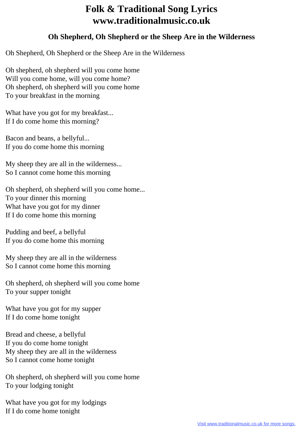## **Folk & Traditional Song Lyrics www.traditionalmusic.co.uk**

## **Oh Shepherd, Oh Shepherd or the Sheep Are in the Wilderness**

Oh Shepherd, Oh Shepherd or the Sheep Are in the Wilderness

Oh shepherd, oh shepherd will you come home Will you come home, will you come home? Oh shepherd, oh shepherd will you come home To your breakfast in the morning

What have you got for my breakfast... If I do come home this morning?

Bacon and beans, a bellyful... If you do come home this morning

My sheep they are all in the wilderness... So I cannot come home this morning

Oh shepherd, oh shepherd will you come home... To your dinner this morning What have you got for my dinner If I do come home this morning

Pudding and beef, a bellyful If you do come home this morning

My sheep they are all in the wilderness So I cannot come home this morning

Oh shepherd, oh shepherd will you come home To your supper tonight

What have you got for my supper If I do come home tonight

Bread and cheese, a bellyful If you do come home tonight My sheep they are all in the wilderness So I cannot come home tonight

Oh shepherd, oh shepherd will you come home To your lodging tonight

What have you got for my lodgings If I do come home tonight